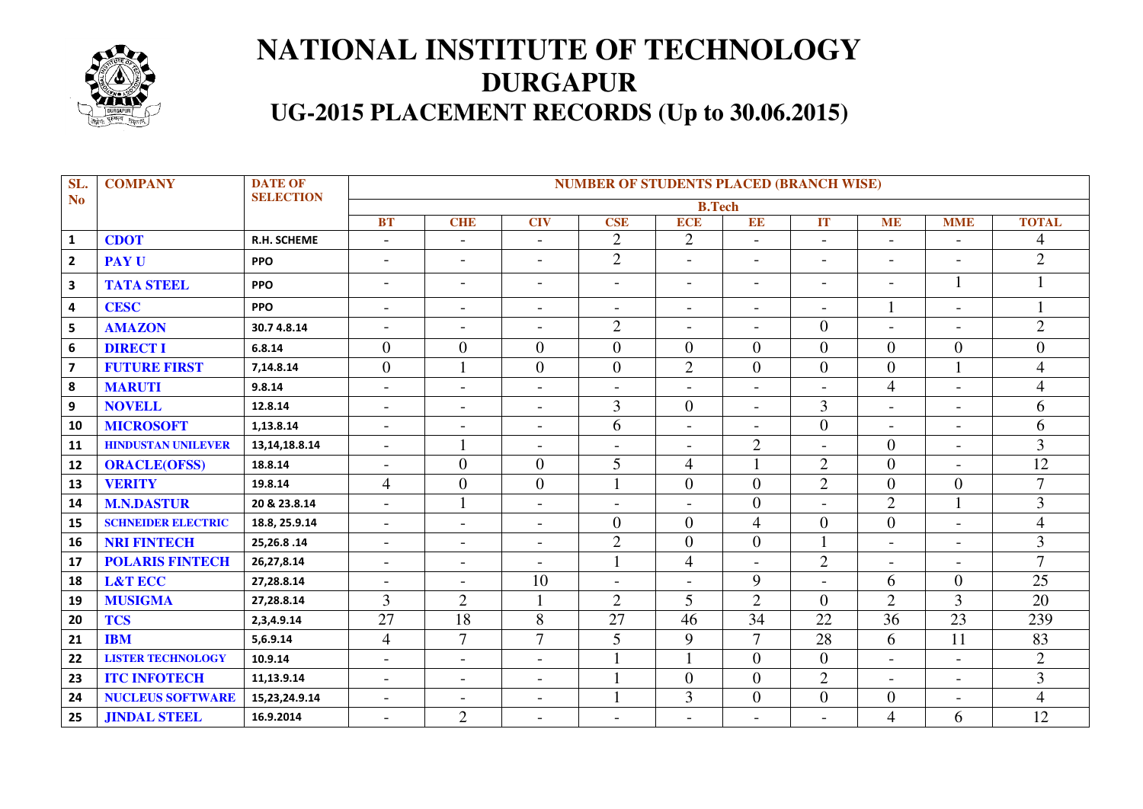

## **NATIONAL INSTITUTE OF TECHNOLOGY DURGAPUR UG-2015 PLACEMENT RECORDS (Up to 30.06.2015)**

| SL.                     | <b>COMPANY</b>            | <b>DATE OF</b>     | <b>NUMBER OF STUDENTS PLACED (BRANCH WISE)</b> |                          |                          |                          |                          |                          |                          |                          |                          |                |  |
|-------------------------|---------------------------|--------------------|------------------------------------------------|--------------------------|--------------------------|--------------------------|--------------------------|--------------------------|--------------------------|--------------------------|--------------------------|----------------|--|
| N <sub>o</sub>          |                           | <b>SELECTION</b>   | <b>B.Tech</b>                                  |                          |                          |                          |                          |                          |                          |                          |                          |                |  |
|                         |                           |                    | <b>BT</b>                                      | <b>CHE</b>               | <b>CIV</b>               | <b>CSE</b>               | <b>ECE</b>               | EE                       | IT                       | <b>ME</b>                | <b>MME</b>               | <b>TOTAL</b>   |  |
| $\mathbf{1}$            | <b>CDOT</b>               | <b>R.H. SCHEME</b> |                                                | $\overline{\phantom{a}}$ |                          | $\overline{2}$           | $\mathbf{2}$             |                          | $\overline{\phantom{a}}$ | $\overline{\phantom{a}}$ |                          | 4              |  |
| $\overline{2}$          | <b>PAY U</b>              | <b>PPO</b>         | $\overline{\phantom{a}}$                       | $\overline{\phantom{a}}$ | $\overline{\phantom{a}}$ | $\overline{2}$           | $\overline{\phantom{a}}$ | $\overline{\phantom{a}}$ | $\blacksquare$           | $\overline{\phantom{a}}$ | $\overline{a}$           | $\overline{2}$ |  |
| 3                       | <b>TATA STEEL</b>         | <b>PPO</b>         | $\overline{\phantom{a}}$                       | $\overline{\phantom{a}}$ | $\blacksquare$           | $\overline{\phantom{a}}$ | $\overline{\phantom{a}}$ | $\overline{\phantom{a}}$ | $\overline{\phantom{a}}$ | $\overline{\phantom{a}}$ | 1                        |                |  |
| $\pmb{4}$               | <b>CESC</b>               | <b>PPO</b>         | $\overline{\phantom{a}}$                       | $\overline{\phantom{a}}$ | $\overline{\phantom{a}}$ | $\blacksquare$           | $\blacksquare$           | $\overline{\phantom{0}}$ | $\overline{\phantom{a}}$ | 1                        | $\overline{\phantom{0}}$ |                |  |
| 5                       | <b>AMAZON</b>             | 30.74.8.14         | $\overline{\phantom{a}}$                       | $\overline{\phantom{a}}$ | $\overline{\phantom{a}}$ | $\overline{2}$           | $\blacksquare$           | $\overline{\phantom{a}}$ | $\theta$                 | $\overline{\phantom{a}}$ | $\overline{\phantom{0}}$ | $\overline{2}$ |  |
| $\boldsymbol{6}$        | <b>DIRECT I</b>           | 6.8.14             | $\overline{0}$                                 | $\overline{0}$           | $\overline{0}$           | $\overline{0}$           | $\overline{0}$           | $\overline{0}$           | $\overline{0}$           | $\overline{0}$           | $\overline{0}$           | $\overline{0}$ |  |
| $\overline{\mathbf{z}}$ | <b>FUTURE FIRST</b>       | 7,14.8.14          | $\overline{0}$                                 |                          | $\overline{0}$           | $\boldsymbol{0}$         | $\overline{2}$           | $\overline{0}$           | $\overline{0}$           | $\mathbf{0}$             | $\mathbf{1}$             | $\overline{4}$ |  |
| 8                       | <b>MARUTI</b>             | 9.8.14             | $\overline{\phantom{a}}$                       | $\overline{\phantom{a}}$ | $\overline{\phantom{a}}$ | $\overline{\phantom{a}}$ | $\blacksquare$           | $\overline{\phantom{a}}$ | $\overline{\phantom{a}}$ | $\overline{4}$           | $\overline{\phantom{0}}$ | $\overline{4}$ |  |
| $\boldsymbol{9}$        | <b>NOVELL</b>             | 12.8.14            | $\overline{\phantom{a}}$                       | $\overline{\phantom{a}}$ | $\overline{\phantom{a}}$ | 3                        | $\overline{0}$           | $\overline{\phantom{a}}$ | 3                        | $\overline{\phantom{a}}$ | $\blacksquare$           | 6              |  |
| 10                      | <b>MICROSOFT</b>          | 1,13.8.14          | $\overline{\phantom{a}}$                       | $\overline{\phantom{a}}$ | $\overline{\phantom{a}}$ | 6                        | $\blacksquare$           | $\overline{\phantom{a}}$ | $\overline{0}$           | $\overline{\phantom{a}}$ | $\overline{\phantom{0}}$ | 6              |  |
| 11                      | <b>HINDUSTAN UNILEVER</b> | 13, 14, 18.8. 14   | $\overline{\phantom{a}}$                       |                          | $\overline{\phantom{a}}$ | $\overline{\phantom{a}}$ | $\blacksquare$           | $\mathbf{2}$             | $\overline{a}$           | $\overline{0}$           | $\overline{a}$           | 3              |  |
| 12                      | <b>ORACLE(OFSS)</b>       | 18.8.14            | $\overline{\phantom{a}}$                       | $\overline{0}$           | $\overline{0}$           | 5                        | $\overline{4}$           |                          | $\overline{2}$           | $\mathbf{0}$             | $\overline{a}$           | 12             |  |
| 13                      | <b>VERITY</b>             | 19.8.14            | $\overline{4}$                                 | $\overline{0}$           | $\overline{0}$           | $\mathbf{1}$             | $\overline{0}$           | $\overline{0}$           | $\overline{2}$           | $\overline{0}$           | $\overline{0}$           | $\overline{7}$ |  |
| 14                      | <b>M.N.DASTUR</b>         | 20 & 23.8.14       | $\overline{a}$                                 |                          | $\overline{\phantom{a}}$ | $\blacksquare$           | $\overline{\phantom{0}}$ | $\overline{0}$           | $\overline{a}$           | $\overline{2}$           |                          | $\overline{3}$ |  |
| 15                      | <b>SCHNEIDER ELECTRIC</b> | 18.8, 25.9.14      | $\overline{a}$                                 | $\overline{\phantom{a}}$ | $\overline{\phantom{a}}$ | $\boldsymbol{0}$         | $\overline{0}$           | $\overline{4}$           | $\overline{0}$           | $\overline{0}$           | $\overline{a}$           | $\overline{4}$ |  |
| 16                      | <b>NRI FINTECH</b>        | 25, 26.8.14        | $\qquad \qquad -$                              | $\overline{\phantom{a}}$ | $\overline{a}$           | $\overline{2}$           | $\overline{0}$           | $\boldsymbol{0}$         | $\mathbf{1}$             | $\overline{a}$           | $\overline{a}$           | $\overline{3}$ |  |
| 17                      | <b>POLARIS FINTECH</b>    | 26,27,8.14         | $\overline{\phantom{a}}$                       | $\blacksquare$           | $\blacksquare$           | $\mathbf{1}$             | $\overline{\mathcal{L}}$ | $\overline{\phantom{a}}$ | $\overline{2}$           | $\overline{\phantom{a}}$ | $\overline{\phantom{a}}$ | $\overline{7}$ |  |
| 18                      | <b>L&amp;T ECC</b>        | 27,28.8.14         | $\overline{a}$                                 | $\blacksquare$           | 10                       | $\blacksquare$           | $\overline{a}$           | 9                        | $\overline{a}$           | 6                        | $\overline{0}$           | 25             |  |
| 19                      | <b>MUSIGMA</b>            | 27,28.8.14         | $\overline{3}$                                 | $\overline{2}$           |                          | $\overline{2}$           | 5                        | $\overline{2}$           | $\theta$                 | $\overline{2}$           | 3                        | 20             |  |
| 20                      | <b>TCS</b>                | 2,3,4.9.14         | $\overline{27}$                                | 18                       | 8                        | 27                       | 46                       | 34                       | $\overline{22}$          | 36                       | $\overline{23}$          | 239            |  |
| 21                      | <b>IBM</b>                | 5,6.9.14           | $\overline{4}$                                 | $\overline{7}$           | $\overline{7}$           | 5                        | 9                        | $\overline{7}$           | 28                       | 6                        | 11                       | 83             |  |
| 22                      | <b>LISTER TECHNOLOGY</b>  | 10.9.14            | $\overline{\phantom{a}}$                       | $\overline{\phantom{a}}$ | $\overline{\phantom{a}}$ |                          |                          | $\overline{0}$           | $\overline{0}$           | $\overline{\phantom{a}}$ | $\blacksquare$           | $\overline{2}$ |  |
| 23                      | <b>ITC INFOTECH</b>       | 11,13.9.14         | $\overline{\phantom{a}}$                       | $\overline{\phantom{a}}$ | $\overline{\phantom{a}}$ | $\mathbf{1}$             | $\overline{0}$           | $\overline{0}$           | $\overline{2}$           | $\overline{\phantom{a}}$ | $\overline{\phantom{a}}$ | $\overline{3}$ |  |
| 24                      | <b>NUCLEUS SOFTWARE</b>   | 15,23,24.9.14      | $\overline{\phantom{a}}$                       | $\overline{\phantom{a}}$ | $\overline{\phantom{a}}$ | 1                        | 3                        | $\boldsymbol{0}$         | $\overline{0}$           | $\boldsymbol{0}$         | $\overline{a}$           | $\overline{4}$ |  |
| 25                      | <b>JINDAL STEEL</b>       | 16.9.2014          |                                                | $\overline{2}$           | $\overline{\phantom{a}}$ |                          | $\blacksquare$           | $\overline{\phantom{a}}$ |                          | 4                        | 6                        | 12             |  |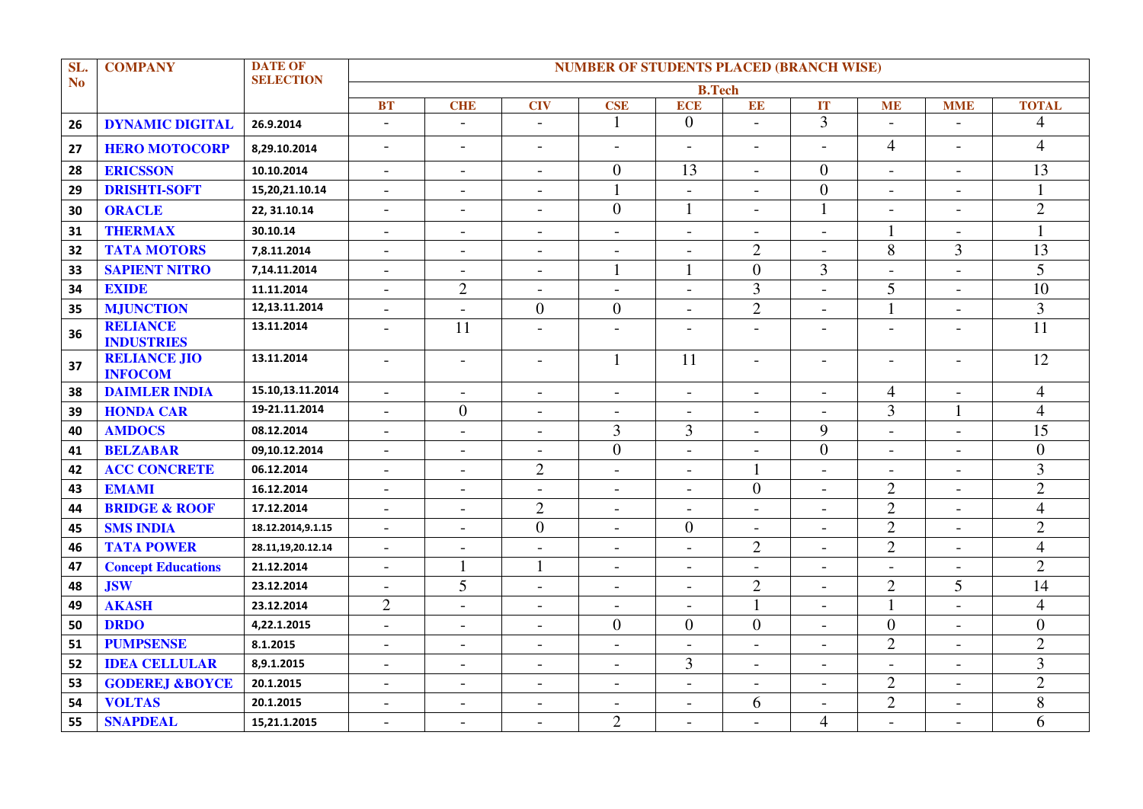| SL.       | <b>COMPANY</b>                        | <b>DATE OF</b>    | <b>NUMBER OF STUDENTS PLACED (BRANCH WISE)</b> |                          |                          |                          |                          |                          |                          |                          |                          |                |
|-----------|---------------------------------------|-------------------|------------------------------------------------|--------------------------|--------------------------|--------------------------|--------------------------|--------------------------|--------------------------|--------------------------|--------------------------|----------------|
| <b>No</b> |                                       | <b>SELECTION</b>  | <b>B.Tech</b>                                  |                          |                          |                          |                          |                          |                          |                          |                          |                |
|           |                                       |                   | <b>BT</b>                                      | <b>CHE</b>               | <b>CIV</b>               | <b>CSE</b>               | <b>ECE</b>               | EE                       | IT                       | <b>ME</b>                | <b>MME</b>               | <b>TOTAL</b>   |
| 26        | <b>DYNAMIC DIGITAL</b>                | 26.9.2014         | $\overline{\phantom{a}}$                       | $\overline{\phantom{a}}$ | $\overline{\phantom{a}}$ | $\mathbf{1}$             | $\theta$                 | $\overline{a}$           | $\overline{3}$           | $\qquad \qquad -$        | $\overline{a}$           | $\overline{4}$ |
| 27        | <b>HERO MOTOCORP</b>                  | 8,29.10.2014      | $\overline{\phantom{a}}$                       | $\overline{a}$           | $\overline{\phantom{a}}$ | $\overline{\phantom{a}}$ | $\overline{a}$           | $\blacksquare$           | $\overline{a}$           | $\overline{4}$           | $\overline{a}$           | $\overline{4}$ |
| 28        | <b>ERICSSON</b>                       | 10.10.2014        | $\overline{\phantom{a}}$                       | $\mathbf{r}$             | $\overline{\phantom{0}}$ | $\boldsymbol{0}$         | 13                       | $\overline{\phantom{a}}$ | $\overline{0}$           | $\overline{\phantom{a}}$ | $\sim$                   | 13             |
| 29        | <b>DRISHTI-SOFT</b>                   | 15,20,21.10.14    | $\overline{\phantom{a}}$                       | $\overline{\phantom{a}}$ | $\overline{\phantom{a}}$ | $\mathbf{1}$             |                          | $\overline{\phantom{a}}$ | $\overline{0}$           | $\overline{\phantom{a}}$ | $\overline{\phantom{a}}$ |                |
| 30        | <b>ORACLE</b>                         | 22, 31.10.14      |                                                | $\overline{a}$           | $\overline{\phantom{a}}$ | $\overline{0}$           | $\mathbf{1}$             | $\overline{a}$           | 1                        | $\overline{a}$           | $\overline{a}$           | $\overline{2}$ |
| 31        | <b>THERMAX</b>                        | 30.10.14          | $\qquad \qquad -$                              | $\blacksquare$           | $\blacksquare$           | $\overline{\phantom{a}}$ | $\overline{\phantom{a}}$ | $\overline{\phantom{a}}$ | $\overline{\phantom{a}}$ | 1                        | $\overline{\phantom{a}}$ |                |
| 32        | <b>TATA MOTORS</b>                    | 7,8.11.2014       | $\overline{\phantom{a}}$                       | $\overline{\phantom{a}}$ | $\overline{\phantom{a}}$ | $\overline{\phantom{a}}$ | $\overline{\phantom{a}}$ | $\overline{2}$           | $\overline{\phantom{a}}$ | 8                        | 3                        | 13             |
| 33        | <b>SAPIENT NITRO</b>                  | 7,14.11.2014      | $\overline{\phantom{a}}$                       | $\blacksquare$           | $\overline{\phantom{a}}$ | 1                        | 1                        | $\boldsymbol{0}$         | 3                        | $\overline{\phantom{0}}$ | $\sim$                   | 5              |
| 34        | <b>EXIDE</b>                          | 11.11.2014        | $\overline{\phantom{a}}$                       | $\overline{2}$           | $\blacksquare$           | $\blacksquare$           | $\blacksquare$           | 3                        | $\overline{\phantom{a}}$ | 5                        | $\blacksquare$           | 10             |
| 35        | <b>MJUNCTION</b>                      | 12,13.11.2014     | $\overline{a}$                                 | $\overline{\phantom{a}}$ | $\overline{0}$           | $\overline{0}$           | $\overline{a}$           | $\overline{2}$           | $\blacksquare$           | 1                        | $\sim$                   | $\overline{3}$ |
| 36        | <b>RELIANCE</b><br><b>INDUSTRIES</b>  | 13.11.2014        | $\overline{\phantom{0}}$                       | 11                       | $\overline{a}$           | $\blacksquare$           |                          | $\overline{a}$           | $\overline{\phantom{0}}$ | $\overline{a}$           | $\overline{\phantom{0}}$ | 11             |
| 37        | <b>RELIANCE JIO</b><br><b>INFOCOM</b> | 13.11.2014        | $\overline{\phantom{a}}$                       | $\overline{\phantom{a}}$ | $\overline{\phantom{a}}$ | $\mathbf{1}$             | 11                       | $\overline{\phantom{a}}$ | $\overline{\phantom{a}}$ | $\overline{\phantom{a}}$ | $\overline{\phantom{a}}$ | 12             |
| 38        | <b>DAIMLER INDIA</b>                  | 15.10,13.11.2014  | $\overline{a}$                                 | $\overline{a}$           | $\overline{a}$           | $\overline{a}$           | $\overline{a}$           | $\overline{a}$           | $\overline{a}$           | $\overline{4}$           | $\overline{a}$           | $\overline{4}$ |
| 39        | <b>HONDA CAR</b>                      | 19-21.11.2014     |                                                | $\overline{0}$           | $\overline{\phantom{a}}$ | $\overline{\phantom{a}}$ | $\overline{a}$           | $\blacksquare$           | $\overline{\phantom{0}}$ | 3                        |                          | $\overline{4}$ |
| 40        | <b>AMDOCS</b>                         | 08.12.2014        | $\overline{\phantom{a}}$                       | $\overline{\phantom{a}}$ | $\overline{\phantom{a}}$ | $\overline{3}$           | 3                        | $\blacksquare$           | 9                        | $\overline{\phantom{a}}$ | $\overline{\phantom{a}}$ | 15             |
| 41        | <b>BELZABAR</b>                       | 09,10.12.2014     | $\overline{\phantom{a}}$                       | $\overline{a}$           | $\overline{\phantom{a}}$ | $\overline{0}$           | $\blacksquare$           | $\blacksquare$           | $\overline{0}$           | $\overline{\phantom{a}}$ | $\blacksquare$           | $\overline{0}$ |
| 42        | <b>ACC CONCRETE</b>                   | 06.12.2014        |                                                | $\overline{\phantom{0}}$ | $\overline{2}$           | $\overline{\phantom{a}}$ | $\blacksquare$           | $\mathbf{1}$             | $\overline{\phantom{a}}$ | $\overline{\phantom{a}}$ |                          | 3              |
| 43        | <b>EMAMI</b>                          | 16.12.2014        | $\overline{a}$                                 | $\blacksquare$           | $\overline{\phantom{0}}$ | $\overline{\phantom{a}}$ | $\overline{a}$           | $\overline{0}$           | $\overline{\phantom{a}}$ | $\overline{2}$           | $\overline{a}$           | $\overline{2}$ |
| 44        | <b>BRIDGE &amp; ROOF</b>              | 17.12.2014        | $\overline{\phantom{a}}$                       | $\overline{\phantom{0}}$ | $\overline{2}$           | $\blacksquare$           |                          | $\overline{\phantom{a}}$ | $\overline{a}$           | $\overline{2}$           | $\blacksquare$           | $\overline{4}$ |
| 45        | <b>SMS INDIA</b>                      | 18.12.2014,9.1.15 | $\overline{a}$                                 | $\overline{a}$           | $\overline{0}$           | $\overline{a}$           | $\overline{0}$           | $\blacksquare$           |                          | $\overline{2}$           | $\overline{a}$           | $\overline{2}$ |
| 46        | <b>TATA POWER</b>                     | 28.11,19,20.12.14 | $\overline{a}$                                 | $\blacksquare$           | $\overline{\phantom{a}}$ | $\blacksquare$           | $\overline{\phantom{0}}$ | $\mathbf{2}$             | $\overline{\phantom{a}}$ | $\overline{2}$           | $\overline{\phantom{a}}$ | $\overline{4}$ |
| 47        | <b>Concept Educations</b>             | 21.12.2014        | $\overline{\phantom{a}}$                       | 1                        | $\mathbf{1}$             | $\blacksquare$           | $\overline{\phantom{a}}$ | $\blacksquare$           | $\overline{\phantom{a}}$ | $\overline{\phantom{a}}$ | $\overline{\phantom{a}}$ | $\overline{2}$ |
| 48        | <b>JSW</b>                            | 23.12.2014        | $\overline{\phantom{a}}$                       | $\overline{5}$           | $\overline{\phantom{a}}$ | $\overline{\phantom{a}}$ | $\blacksquare$           | $\overline{2}$           | $\overline{\phantom{a}}$ | $\overline{2}$           | 5                        | 14             |
| 49        | <b>AKASH</b>                          | 23.12.2014        | $\overline{2}$                                 | $\overline{\phantom{a}}$ | $\overline{\phantom{a}}$ | $\blacksquare$           | $\blacksquare$           | $\mathbf{1}$             | $\overline{\phantom{a}}$ | $\mathbf{1}$             | $\overline{a}$           | $\overline{4}$ |
| 50        | <b>DRDO</b>                           | 4,22.1.2015       | $\overline{\phantom{a}}$                       | $\overline{\phantom{a}}$ | $\overline{\phantom{a}}$ | $\overline{0}$           | $\overline{0}$           | $\overline{0}$           | $\overline{\phantom{a}}$ | $\overline{0}$           | $\overline{a}$           | $\overline{0}$ |
| 51        | <b>PUMPSENSE</b>                      | 8.1.2015          | $\overline{\phantom{a}}$                       | $\overline{a}$           | $\overline{a}$           | $\overline{a}$           | $\overline{\phantom{a}}$ | $\overline{a}$           | $\overline{a}$           | $\overline{2}$           | $\overline{a}$           | $\overline{2}$ |
| 52        | <b>IDEA CELLULAR</b>                  | 8,9.1.2015        | $\overline{\phantom{a}}$                       | $\overline{\phantom{a}}$ | $\overline{\phantom{a}}$ |                          | 3                        | $\overline{\phantom{a}}$ |                          | $\overline{\phantom{a}}$ | $\overline{\phantom{0}}$ | $\overline{3}$ |
| 53        | <b>GODEREJ &amp;BOYCE</b>             | 20.1.2015         | $\overline{\phantom{a}}$                       | $\overline{\phantom{a}}$ | $\overline{\phantom{a}}$ | $\overline{\phantom{a}}$ | $\overline{\phantom{a}}$ | $\overline{\phantom{a}}$ | $\overline{\phantom{a}}$ | $\mathbf{2}$             | $\overline{\phantom{a}}$ | $\overline{2}$ |
| 54        | <b>VOLTAS</b>                         | 20.1.2015         | $\overline{\phantom{a}}$                       | $\overline{\phantom{a}}$ | $\overline{\phantom{a}}$ | $\overline{\phantom{a}}$ | $\blacksquare$           | 6                        | $\overline{\phantom{a}}$ | $\overline{2}$           | $\overline{\phantom{a}}$ | 8              |
| 55        | <b>SNAPDEAL</b>                       | 15,21.1.2015      |                                                | $\overline{a}$           | $\overline{a}$           | $\overline{2}$           |                          | $\blacksquare$           | $\overline{4}$           | $\overline{a}$           |                          | 6              |